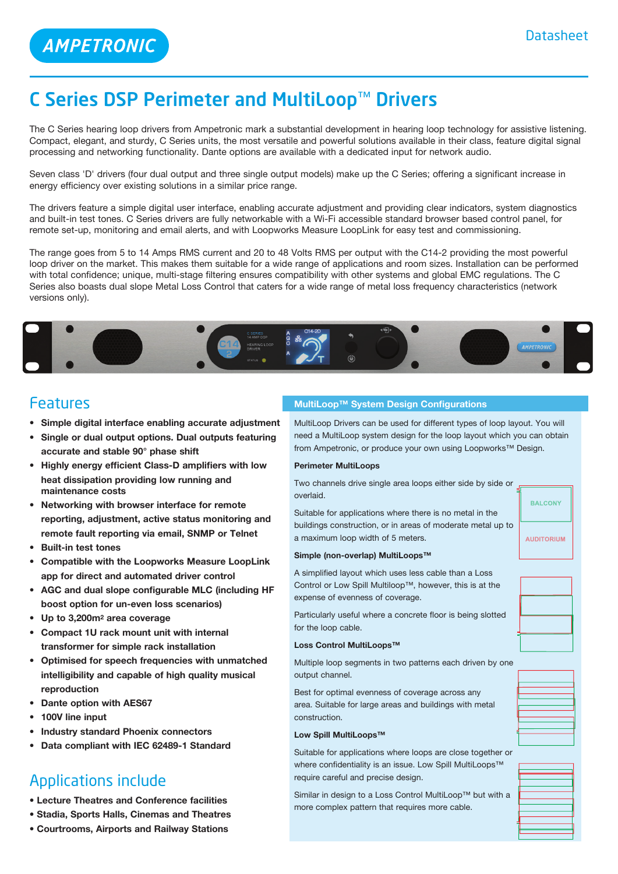**AMPETRONIC** 

## C Series DSP Perimeter and MultiLoop™ Drivers

The C Series hearing loop drivers from Ampetronic mark a substantial development in hearing loop technology for assistive listening. Compact, elegant, and sturdy, C Series units, the most versatile and powerful solutions available in their class, feature digital signal processing and networking functionality. Dante options are available with a dedicated input for network audio.

Seven class 'D' drivers (four dual output and three single output models) make up the C Series; offering a significant increase in energy efficiency over existing solutions in a similar price range.

The drivers feature a simple digital user interface, enabling accurate adjustment and providing clear indicators, system diagnostics and built-in test tones. C Series drivers are fully networkable with a Wi-Fi accessible standard browser based control panel, for remote set-up, monitoring and email alerts, and with Loopworks Measure LoopLink for easy test and commissioning.

The range goes from 5 to 14 Amps RMS current and 20 to 48 Volts RMS per output with the C14-2 providing the most powerful loop driver on the market. This makes them suitable for a wide range of applications and room sizes. Installation can be performed with total confidence; unique, multi-stage filtering ensures compatibility with other systems and global EMC regulations. The C Series also boasts dual slope Metal Loss Control that caters for a wide range of metal loss frequency characteristics (network versions only).



### Features

- **• Simple digital interface enabling accurate adjustment**
- **• Single or dual output options. Dual outputs featuring accurate and stable 90° phase shift**
- **• Highly energy efficient Class-D amplifiers with low heat dissipation providing low running and maintenance costs**
- **• Networking with browser interface for remote reporting, adjustment, active status monitoring and remote fault reporting via email, SNMP or Telnet**
- **• Built-in test tones**
- **• Compatible with the Loopworks Measure LoopLink app for direct and automated driver control**
- **• AGC and dual slope configurable MLC (including HF boost option for un-even loss scenarios)**
- **• Up to 3,200m2 area coverage**
- **• Compact 1U rack mount unit with internal transformer for simple rack installation**
- **• Optimised for speech frequencies with unmatched intelligibility and capable of high quality musical reproduction**
- **• Dante option with AES67**
- **• 100V line input**
- **• Industry standard Phoenix connectors**
- **• Data compliant with IEC 62489-1 Standard**

## Applications include

- **Lecture Theatres and Conference facilities**
- **Stadia, Sports Halls, Cinemas and Theatres**
- **Courtrooms, Airports and Railway Stations**

#### **MultiLoop™ System Design Configurations**

MultiLoop Drivers can be used for different types of loop layout. You will need a MultiLoop system design for the loop layout which you can obtain from Ampetronic, or produce your own using Loopworks™ Design.

#### **Perimeter MultiLoops**

Two channels drive single area loops either side by side or overlaid.

Suitable for applications where there is no metal in the buildings construction, or in areas of moderate metal up to a maximum loop width of 5 meters.

### **Simple (non-overlap) MultiLoops™**

A simplified layout which uses less cable than a Loss Control or Low Spill Multiloop™, however, this is at the expense of evenness of coverage.

Particularly useful where a concrete floor is being slotted for the loop cable.

#### **Loss Control MultiLoops™**

Multiple loop segments in two patterns each driven by one output channel.

Best for optimal evenness of coverage across any area. Suitable for large areas and buildings with metal construction.

#### **Low Spill MultiLoops™**

Suitable for applications where loops are close together or where confidentiality is an issue. Low Spill MultiLoops™ require careful and precise design.

Similar in design to a Loss Control MultiLoop™ but with a more complex pattern that requires more cable.



**BALCONY** 

**AUDITORIUM**